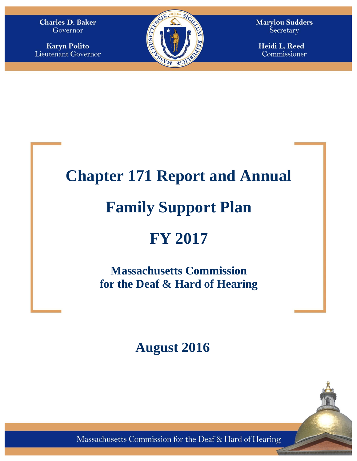**Charles D. Baker** Governor

**Karyn Polito** Lieutenant Governor



**Marylou Sudders** Secretary

Heidi L. Reed Commissioner

## **Chapter 171 Report and Annual**

# **Family Support Plan**

# **FY 2017**

**Massachusetts Commission for the Deaf & Hard of Hearing**

## **August 2016**

Massachusetts Commission for the Deaf & Hard of Hearing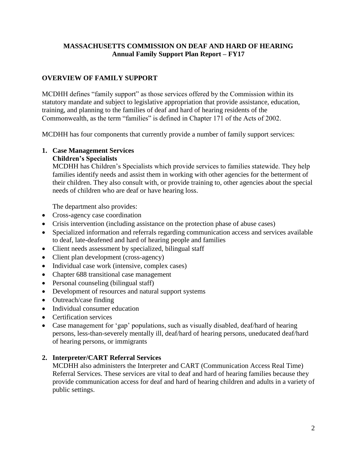### **MASSACHUSETTS COMMISSION ON DEAF AND HARD OF HEARING Annual Family Support Plan Report – FY17**

## **OVERVIEW OF FAMILY SUPPORT**

MCDHH defines "family support" as those services offered by the Commission within its statutory mandate and subject to legislative appropriation that provide assistance, education, training, and planning to the families of deaf and hard of hearing residents of the Commonwealth, as the term "families" is defined in Chapter 171 of the Acts of 2002.

MCDHH has four components that currently provide a number of family support services:

## **1. Case Management Services**

#### **Children's Specialists**

MCDHH has Children's Specialists which provide services to families statewide. They help families identify needs and assist them in working with other agencies for the betterment of their children. They also consult with, or provide training to, other agencies about the special needs of children who are deaf or have hearing loss.

The department also provides:

- Cross-agency case coordination
- Crisis intervention (including assistance on the protection phase of abuse cases)
- Specialized information and referrals regarding communication access and services available to deaf, late-deafened and hard of hearing people and families
- Client needs assessment by specialized, bilingual staff
- Client plan development (cross-agency)
- Individual case work (intensive, complex cases)
- Chapter 688 transitional case management
- Personal counseling (bilingual staff)
- Development of resources and natural support systems
- Outreach/case finding
- Individual consumer education
- Certification services
- Case management for 'gap' populations, such as visually disabled, deaf/hard of hearing persons, less-than-severely mentally ill, deaf/hard of hearing persons, uneducated deaf/hard of hearing persons, or immigrants

### **2. Interpreter/CART Referral Services**

MCDHH also administers the Interpreter and CART (Communication Access Real Time) Referral Services. These services are vital to deaf and hard of hearing families because they provide communication access for deaf and hard of hearing children and adults in a variety of public settings.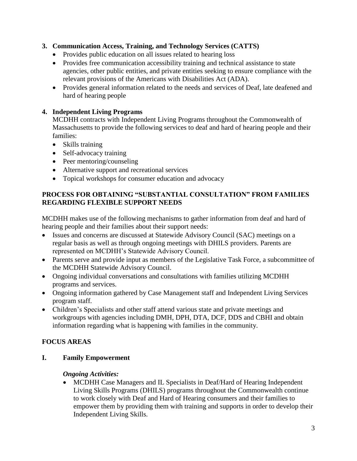## **3. Communication Access, Training, and Technology Services (CATTS)**

- Provides public education on all issues related to hearing loss
- Provides free communication accessibility training and technical assistance to state agencies, other public entities, and private entities seeking to ensure compliance with the relevant provisions of the Americans with Disabilities Act (ADA).
- Provides general information related to the needs and services of Deaf, late deafened and hard of hearing people

## **4. Independent Living Programs**

MCDHH contracts with Independent Living Programs throughout the Commonwealth of Massachusetts to provide the following services to deaf and hard of hearing people and their families:

- Skills training
- Self-advocacy training
- Peer mentoring/counseling
- Alternative support and recreational services
- Topical workshops for consumer education and advocacy

## **PROCESS FOR OBTAINING "SUBSTANTIAL CONSULTATION" FROM FAMILIES REGARDING FLEXIBLE SUPPORT NEEDS**

MCDHH makes use of the following mechanisms to gather information from deaf and hard of hearing people and their families about their support needs:

- Issues and concerns are discussed at Statewide Advisory Council (SAC) meetings on a regular basis as well as through ongoing meetings with DHILS providers. Parents are represented on MCDHH's Statewide Advisory Council.
- Parents serve and provide input as members of the Legislative Task Force, a subcommittee of the MCDHH Statewide Advisory Council.
- Ongoing individual conversations and consultations with families utilizing MCDHH programs and services.
- Ongoing information gathered by Case Management staff and Independent Living Services program staff.
- Children's Specialists and other staff attend various state and private meetings and workgroups with agencies including DMH, DPH, DTA, DCF, DDS and CBHI and obtain information regarding what is happening with families in the community.

## **FOCUS AREAS**

**I. Family Empowerment**

## *Ongoing Activities:*

• MCDHH Case Managers and IL Specialists in Deaf/Hard of Hearing Independent Living Skills Programs (DHILS) programs throughout the Commonwealth continue to work closely with Deaf and Hard of Hearing consumers and their families to empower them by providing them with training and supports in order to develop their Independent Living Skills.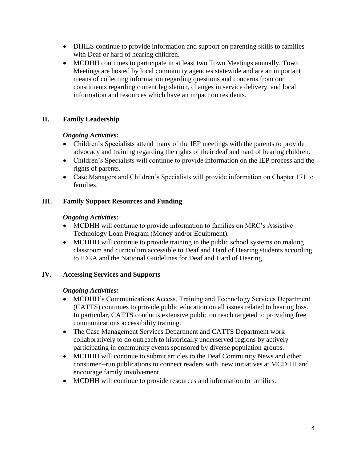- DHILS continue to provide information and support on parenting skills to families with Deaf or hard of hearing children.
- MCDHH continues to participate in at least two Town Meetings annually. Town Meetings are hosted by local community agencies statewide and are an important means of collecting information regarding questions and concerns from our constituents regarding current legislation, changes in service delivery, and local information and resources which have an impact on residents.

## **II. Family Leadership**

## *Ongoing Activities:*

- Children's Specialists attend many of the IEP meetings with the parents to provide advocacy and training regarding the rights of their deaf and hard of hearing children.
- Children's Specialists will continue to provide information on the IEP process and the rights of parents.
- Case Managers and Children's Specialists will provide information on Chapter 171 to families.

## **III. Family Support Resources and Funding**

## *Ongoing Activities:*

- MCDHH will continue to provide information to families on MRC's Assistive Technology Loan Program (Money and/or Equipment).
- MCDHH will continue to provide training in the public school systems on making classroom and curriculum accessible to Deaf and Hard of Hearing students according to IDEA and the National Guidelines for Deaf and Hard of Hearing.

## **IV. Accessing Services and Supports**

## *Ongoing Activities:*

- MCDHH's Communications Access, Training and Technology Services Department (CATTS) continues to provide public education on all issues related to hearing loss. In particular, CATTS conducts extensive public outreach targeted to providing free communications accessibility training.
- The Case Management Services Department and CATTS Department work collaboratively to do outreach to historically underserved regions by actively participating in community events sponsored by diverse population groups.
- MCDHH will continue to submit articles to the Deaf Community News and other consumer –run publications to connect readers with new initiatives at MCDHH and encourage family involvement
- MCDHH will continue to provide resources and information to families.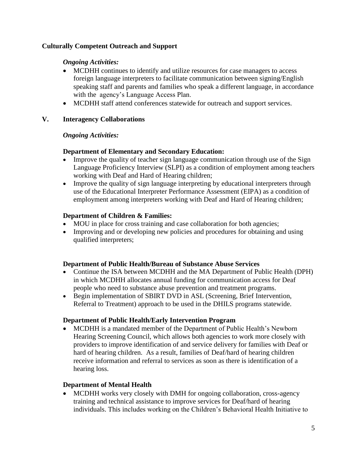### **Culturally Competent Outreach and Support**

### *Ongoing Activities:*

- MCDHH continues to identify and utilize resources for case managers to access foreign language interpreters to facilitate communication between signing/English speaking staff and parents and families who speak a different language, in accordance with the agency's Language Access Plan.
- MCDHH staff attend conferences statewide for outreach and support services.

### **V. Interagency Collaborations**

#### *Ongoing Activities:*

### **Department of Elementary and Secondary Education:**

- Improve the quality of teacher sign language communication through use of the Sign Language Proficiency Interview (SLPI) as a condition of employment among teachers working with Deaf and Hard of Hearing children;
- Improve the quality of sign language interpreting by educational interpreters through use of the Educational Interpreter Performance Assessment (EIPA) as a condition of employment among interpreters working with Deaf and Hard of Hearing children;

### **Department of Children & Families:**

- MOU in place for cross training and case collaboration for both agencies;
- Improving and or developing new policies and procedures for obtaining and using qualified interpreters;

#### **Department of Public Health/Bureau of Substance Abuse Services**

- Continue the ISA between MCDHH and the MA Department of Public Health (DPH) in which MCDHH allocates annual funding for communication access for Deaf people who need to substance abuse prevention and treatment programs.
- Begin implementation of SBIRT DVD in ASL (Screening, Brief Intervention, Referral to Treatment) approach to be used in the DHILS programs statewide.

### **Department of Public Health/Early Intervention Program**

 MCDHH is a mandated member of the Department of Public Health's Newborn Hearing Screening Council, which allows both agencies to work more closely with providers to improve identification of and service delivery for families with Deaf or hard of hearing children. As a result, families of Deaf/hard of hearing children receive information and referral to services as soon as there is identification of a hearing loss.

### **Department of Mental Health**

• MCDHH works very closely with DMH for ongoing collaboration, cross-agency training and technical assistance to improve services for Deaf/hard of hearing individuals. This includes working on the Children's Behavioral Health Initiative to